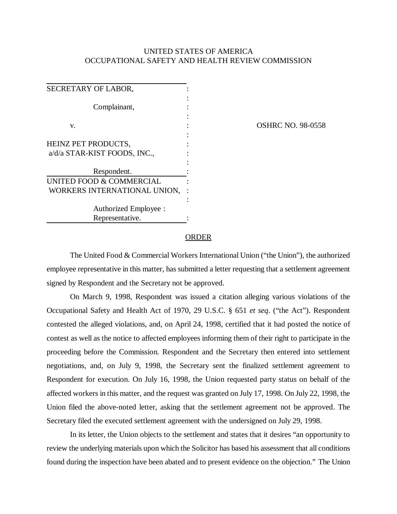## UNITED STATES OF AMERICA OCCUPATIONAL SAFETY AND HEALTH REVIEW COMMISSION

| SECRETARY OF LABOR,                 |  |
|-------------------------------------|--|
| Complainant,                        |  |
| v.                                  |  |
| HEINZ PET PRODUCTS,                 |  |
| a/d/a STAR-KIST FOODS, INC.,        |  |
| Respondent.                         |  |
| <b>UNITED FOOD &amp; COMMERCIAL</b> |  |
| WORKERS INTERNATIONAL UNION,        |  |
|                                     |  |
| Authorized Employee :               |  |
| Representative.                     |  |

OSHRC NO. 98-0558

## ORDER

The United Food & Commercial Workers International Union ("the Union"), the authorized employee representative in this matter, has submitted a letter requesting that a settlement agreement signed by Respondent and the Secretary not be approved.

On March 9, 1998, Respondent was issued a citation alleging various violations of the Occupational Safety and Health Act of 1970, 29 U.S.C. § 651 *et seq*. ("the Act"). Respondent contested the alleged violations, and, on April 24, 1998, certified that it had posted the notice of contest as well as the notice to affected employees informing them of their right to participate in the proceeding before the Commission. Respondent and the Secretary then entered into settlement negotiations, and, on July 9, 1998, the Secretary sent the finalized settlement agreement to Respondent for execution. On July 16, 1998, the Union requested party status on behalf of the affected workers in this matter, and the request was granted on July 17, 1998. On July 22, 1998, the Union filed the above-noted letter, asking that the settlement agreement not be approved. The Secretary filed the executed settlement agreement with the undersigned on July 29, 1998.

In its letter, the Union objects to the settlement and states that it desires "an opportunity to review the underlying materials upon which the Solicitor has based his assessment that all conditions found during the inspection have been abated and to present evidence on the objection." The Union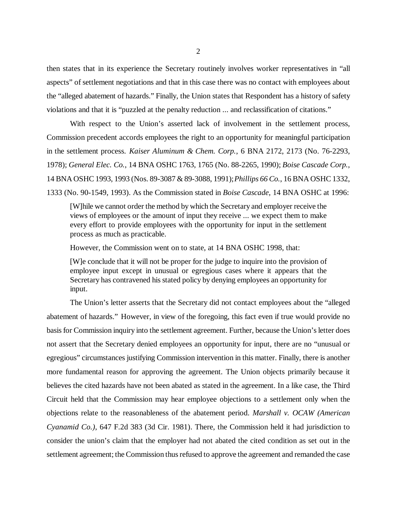then states that in its experience the Secretary routinely involves worker representatives in "all aspects" of settlement negotiations and that in this case there was no contact with employees about the "alleged abatement of hazards." Finally, the Union states that Respondent has a history of safety violations and that it is "puzzled at the penalty reduction ... and reclassification of citations."

With respect to the Union's asserted lack of involvement in the settlement process, Commission precedent accords employees the right to an opportunity for meaningful participation in the settlement process. *Kaiser Aluminum & Chem. Corp.*, 6 BNA 2172, 2173 (No. 76-2293, 1978); *General Elec. Co.*, 14 BNA OSHC 1763, 1765 (No. 88-2265, 1990); *Boise Cascade Corp.*, 14 BNA OSHC 1993, 1993 (Nos. 89-3087 & 89-3088, 1991); *Phillips 66 Co.*, 16 BNA OSHC 1332, 1333 (No. 90-1549, 1993). As the Commission stated in *Boise Cascade*, 14 BNA OSHC at 1996:

[W]hile we cannot order the method by which the Secretary and employer receive the views of employees or the amount of input they receive ... we expect them to make every effort to provide employees with the opportunity for input in the settlement process as much as practicable.

However, the Commission went on to state, at 14 BNA OSHC 1998, that:

[W]e conclude that it will not be proper for the judge to inquire into the provision of employee input except in unusual or egregious cases where it appears that the Secretary has contravened his stated policy by denying employees an opportunity for input.

The Union's letter asserts that the Secretary did not contact employees about the "alleged abatement of hazards." However, in view of the foregoing, this fact even if true would provide no basis for Commission inquiry into the settlement agreement. Further, because the Union's letter does not assert that the Secretary denied employees an opportunity for input, there are no "unusual or egregious" circumstances justifying Commission intervention in this matter. Finally, there is another more fundamental reason for approving the agreement. The Union objects primarily because it believes the cited hazards have not been abated as stated in the agreement. In a like case, the Third Circuit held that the Commission may hear employee objections to a settlement only when the objections relate to the reasonableness of the abatement period. *Marshall v. OCAW (American Cyanamid Co.)*, 647 F.2d 383 (3d Cir. 1981). There, the Commission held it had jurisdiction to consider the union's claim that the employer had not abated the cited condition as set out in the settlement agreement; the Commission thus refused to approve the agreement and remanded the case